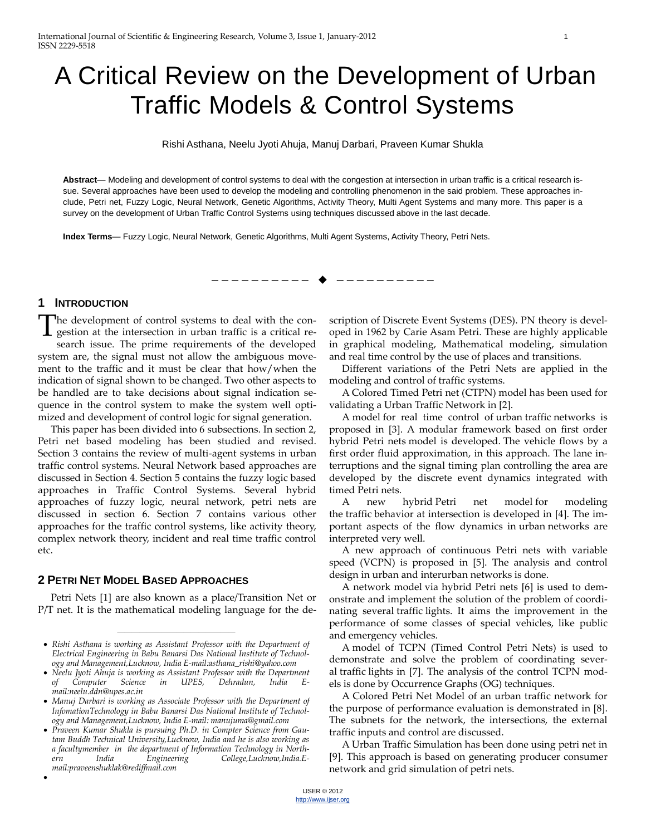# A Critical Review on the Development of Urban Traffic Models & Control Systems

Rishi Asthana, Neelu Jyoti Ahuja, Manuj Darbari, Praveen Kumar Shukla

**Abstract**— Modeling and development of control systems to deal with the congestion at intersection in urban traffic is a critical research issue. Several approaches have been used to develop the modeling and controlling phenomenon in the said problem. These approaches include, Petri net, Fuzzy Logic, Neural Network, Genetic Algorithms, Activity Theory, Multi Agent Systems and many more. This paper is a survey on the development of Urban Traffic Control Systems using techniques discussed above in the last decade.

—————————— ——————————

**Index Terms**— Fuzzy Logic, Neural Network, Genetic Algorithms, Multi Agent Systems, Activity Theory, Petri Nets.

#### **1 INTRODUCTION**

 $\bullet$ 

The development of control systems to deal with the congestion at the intersection in urban traffic is a critical research issue. The prime requirements of the developed system are, the signal must not allow the ambiguous movement to the traffic and it must be clear that how/when the indication of signal shown to be changed. Two other aspects to be handled are to take decisions about signal indication sequence in the control system to make the system well optimized and development of control logic for signal generation. T

This paper has been divided into 6 subsections. In section 2, Petri net based modeling has been studied and revised. Section 3 contains the review of multi-agent systems in urban traffic control systems. Neural Network based approaches are discussed in Section 4. Section 5 contains the fuzzy logic based approaches in Traffic Control Systems. Several hybrid approaches of fuzzy logic, neural network, petri nets are discussed in section 6. Section 7 contains various other approaches for the traffic control systems, like activity theory, complex network theory, incident and real time traffic control etc.

## **2 PETRI NET MODEL BASED APPROACHES**

Petri Nets [1] are also known as a place/Transition Net or P/T net. It is the mathematical modeling language for the description of Discrete Event Systems (DES). PN theory is developed in 1962 by Carie Asam Petri. These are highly applicable in graphical modeling, Mathematical modeling, simulation and real time control by the use of places and transitions.

Different variations of the Petri Nets are applied in the modeling and control of traffic systems.

A Colored Timed Petri net (CTPN) model has been used for validating a Urban Traffic Network in [2].

A model for real time control of urban traffic networks is proposed in [3]. A modular framework based on first order hybrid Petri nets model is developed. The vehicle flows by a first order fluid approximation, in this approach. The lane interruptions and the signal timing plan controlling the area are developed by the discrete event dynamics integrated with timed Petri nets.

A new hybrid Petri net model for modeling the traffic behavior at intersection is developed in [4]. The important aspects of the flow dynamics in urban networks are interpreted very well.

A new approach of continuous Petri nets with variable speed (VCPN) is proposed in [5]. The analysis and control design in urban and interurban networks is done.

A network model via hybrid Petri nets [6] is used to demonstrate and implement the solution of the problem of coordinating several traffic lights. It aims the improvement in the performance of some classes of special vehicles, like public and emergency vehicles.

A model of TCPN (Timed Control Petri Nets) is used to demonstrate and solve the problem of coordinating several traffic lights in [7]. The analysis of the control TCPN models is done by Occurrence Graphs (OG) techniques.

A Colored Petri Net Model of an urban traffic network for the purpose of performance evaluation is demonstrated in [8]. The subnets for the network, the intersections, the external traffic inputs and control are discussed.

A Urban Traffic Simulation has been done using petri net in [9]. This approach is based on generating producer consumer network and grid simulation of petri nets.

<sup>————————————————</sup> *Rishi Asthana is working as Assistant Professor with the Department of Electrical Engineering in Babu Banarsi Das National Institute of Technology and Management,Lucknow, India E-mail:asthana\_rishi@yahoo.com*

*Neelu Jyoti Ahuja is working as Assistant Professor with the Department of Computer Science in UPES, Dehradun, India Email:neelu.ddn@upes.ac.in*

*Manuj Darbari is working as Associate Professor with the Department of InfomationTechnology in Babu Banarsi Das National Institute of Technology and Management,Lucknow, India E-mail: manujuma@gmail.com*

*Praveen Kumar Shukla is pursuing Ph.D. in Compter Science from Gautam Buddh Technical University,Lucknow, India and he is also working as a facultymember in the department of Information Technology in Northern India Engineering College,Lucknow,India.Email:praveenshuklak@rediffmail.com*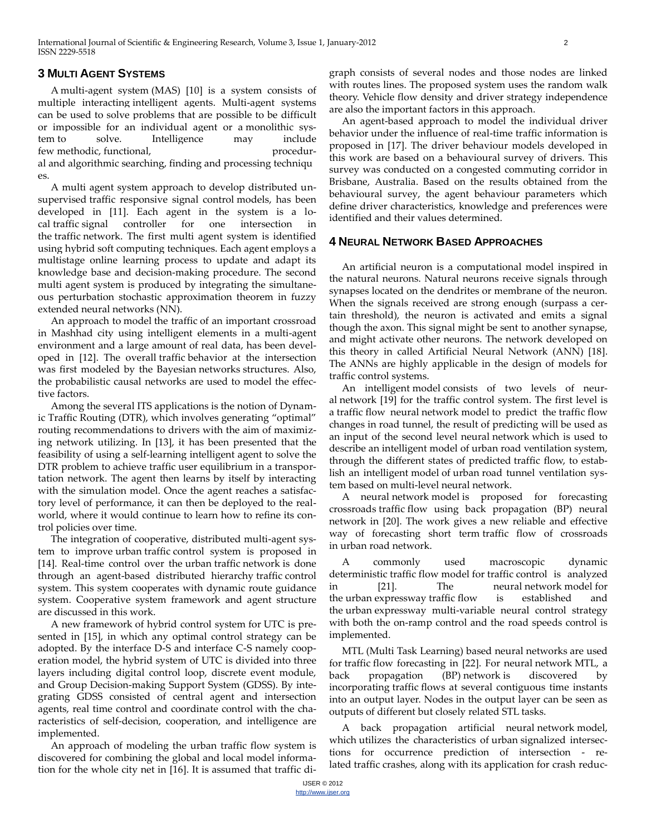# **3 MULTI AGENT SYSTEMS**

A multi-agent system (MAS) [10] is a system consists of multiple interacting [intelligent agents.](http://en.wikipedia.org/wiki/Intelligent_agent) Multi-agent systems can be used to solve problems that are possible to be difficult or impossible for an individual agent or a [monolithic sys](http://en.wikipedia.org/wiki/Monolithic_system)[tem](http://en.wikipedia.org/wiki/Monolithic_system) to solve. Intelligence may include few [methodic,](http://en.wikipedia.org/wiki/Method) [functional,](http://en.wikipedia.org/wiki/Function_(computer_science)) procedural and [algorithmic](http://en.wikipedia.org/wiki/Algorithm) [search](http://en.wikipedia.org/wiki/Search)ing, [find](http://en.wikipedia.org/wiki/Finding)ing and [processing](http://en.wikipedia.org/wiki/Computer_data_processing) techniqu es.

A multi agent system approach to develop distributed unsupervised traffic responsive signal control models, has been developed in [11]. Each agent in the system is a local traffic signal controller for one intersection in the traffic network. The first multi agent system is identified using hybrid soft computing techniques. Each agent employs a multistage online learning process to update and adapt its knowledge base and decision-making procedure. The second multi agent system is produced by integrating the simultaneous perturbation stochastic approximation theorem in fuzzy extended neural networks (NN).

An approach to model the traffic of an important crossroad in Mashhad city using intelligent elements in a multi-agent environment and a large amount of real data, has been developed in [12]. The overall traffic behavior at the intersection was first modeled by the Bayesian networks structures. Also, the probabilistic causal networks are used to model the effective factors.

Among the several ITS applications is the notion of Dynamic Traffic Routing (DTR), which involves generating "optimal" routing recommendations to drivers with the aim of maximizing network utilizing. In [13], it has been presented that the feasibility of using a self-learning intelligent agent to solve the DTR problem to achieve traffic user equilibrium in a transportation network. The agent then learns by itself by interacting with the simulation model. Once the agent reaches a satisfactory level of performance, it can then be deployed to the realworld, where it would continue to learn how to refine its control policies over time.

The integration of cooperative, distributed multi-agent system to improve urban traffic control system is proposed in [14]. Real-time control over the urban traffic network is done through an agent-based distributed hierarchy traffic control system. This system cooperates with dynamic route guidance system. Cooperative system framework and agent structure are discussed in this work.

A new framework of hybrid control system for UTC is presented in [15], in which any optimal control strategy can be adopted. By the interface D-S and interface C-S namely cooperation model, the hybrid system of UTC is divided into three layers including digital control loop, discrete event module, and Group Decision-making Support System (GDSS). By integrating GDSS consisted of central agent and intersection agents, real time control and coordinate control with the characteristics of self-decision, cooperation, and intelligence are implemented.

An approach of modeling the urban traffic flow system is discovered for combining the global and local model information for the whole city net in [16]. It is assumed that traffic digraph consists of several nodes and those nodes are linked with routes lines. The proposed system uses the random walk theory. Vehicle flow density and driver strategy independence are also the important factors in this approach.

An agent-based approach to model the individual driver behavior under the influence of real-time traffic information is proposed in [17]. The driver behaviour models developed in this work are based on a behavioural survey of drivers. This survey was conducted on a congested commuting corridor in Brisbane, Australia. Based on the results obtained from the behavioural survey, the agent behaviour parameters which define driver characteristics, knowledge and preferences were identified and their values determined.

# **4 NEURAL NETWORK BASED APPROACHES**

An artificial neuron is a computational model inspired in the natural neurons. Natural neurons receive signals through synapses located on the dendrites or membrane of the neuron. When the signals received are strong enough (surpass a certain threshold), the neuron is activated and emits a signal though the axon. This signal might be sent to another synapse, and might activate other neurons. The network developed on this theory in called Artificial Neural Network (ANN) [18]. The ANNs are highly applicable in the design of models for traffic control systems.

An intelligent model consists of two levels of neural network [19] for the traffic control system. The first level is a traffic flow neural network model to predict the traffic flow changes in road tunnel, the result of predicting will be used as an input of the second level neural network which is used to describe an intelligent model of urban road ventilation system, through the different states of predicted traffic flow, to establish an intelligent model of urban road tunnel ventilation system based on multi-level neural network.

A neural network model is proposed for forecasting crossroads traffic flow using back propagation (BP) neural network in [20]. The work gives a new reliable and effective way of forecasting short term traffic flow of crossroads in urban road network.

A commonly used macroscopic dynamic deterministic traffic flow model for traffic control is analyzed in [21]. The neural network model for the urban expressway traffic flow is established and the urban expressway multi-variable neural control strategy with both the on-ramp control and the road speeds control is implemented.

MTL (Multi Task Learning) based neural networks are used for traffic flow forecasting in [22]. For neural network MTL, a back propagation (BP) network is discovered by incorporating traffic flows at several contiguous time instants into an output layer. Nodes in the output layer can be seen as outputs of different but closely related STL tasks.

A back propagation artificial neural network model, which utilizes the characteristics of urban signalized intersections for occurrence prediction of intersection - related traffic crashes, along with its application for crash reduc-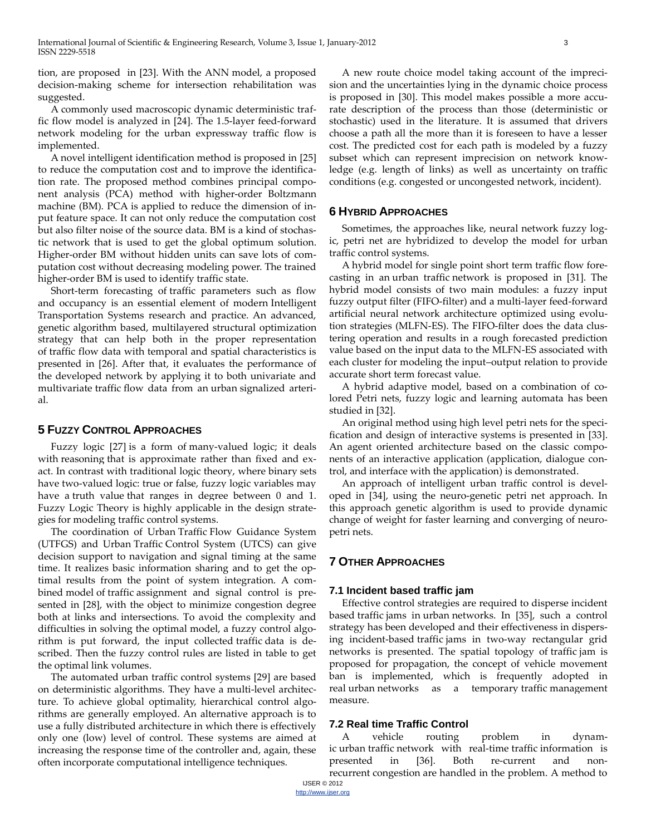tion, are proposed in [23]. With the ANN model, a proposed decision-making scheme for intersection rehabilitation was suggested.

A commonly used macroscopic dynamic deterministic traffic flow model is analyzed in [24]. The 1.5-layer feed-forward network modeling for the urban expressway traffic flow is implemented.

A novel intelligent identification method is proposed in [25] to reduce the computation cost and to improve the identification rate. The proposed method combines principal component analysis (PCA) method with higher-order Boltzmann machine (BM). PCA is applied to reduce the dimension of input feature space. It can not only reduce the computation cost but also filter noise of the source data. BM is a kind of stochastic network that is used to get the global optimum solution. Higher-order BM without hidden units can save lots of computation cost without decreasing modeling power. The trained higher-order BM is used to identify traffic state.

Short-term forecasting of traffic parameters such as flow and occupancy is an essential element of modern Intelligent Transportation Systems research and practice. An advanced, genetic algorithm based, multilayered structural optimization strategy that can help both in the proper representation of traffic flow data with temporal and spatial characteristics is presented in [26]. After that, it evaluates the performance of the developed network by applying it to both univariate and multivariate traffic flow data from an urban signalized arterial.

#### **5 FUZZY CONTROL APPROACHES**

Fuzzy logic [27] is a form of many-valued logic; it deals with reasoning that is approximate rather than fixed and exact. In contrast with traditional logic theory, where binary sets have two-valued logic: true or false, fuzzy logic variables may have a truth value that ranges in degree between 0 and 1. Fuzzy Logic Theory is highly applicable in the design strategies for modeling traffic control systems.

The coordination of Urban Traffic Flow Guidance System (UTFGS) and Urban Traffic Control System (UTCS) can give decision support to navigation and signal timing at the same time. It realizes basic information sharing and to get the optimal results from the point of system integration. A combined model of traffic assignment and signal control is presented in [28], with the object to minimize congestion degree both at links and intersections. To avoid the complexity and difficulties in solving the optimal model, a fuzzy control algorithm is put forward, the input collected traffic data is described. Then the fuzzy control rules are listed in table to get the optimal link volumes.

The automated urban traffic control systems [29] are based on deterministic algorithms. They have a multi-level architecture. To achieve global optimality, hierarchical control algorithms are generally employed. An alternative approach is to use a fully distributed architecture in which there is effectively only one (low) level of control. These systems are aimed at increasing the response time of the controller and, again, these often incorporate computational intelligence techniques.

A new route choice model taking account of the imprecision and the uncertainties lying in the dynamic choice process is proposed in [30]. This model makes possible a more accurate description of the process than those (deterministic or stochastic) used in the literature. It is assumed that drivers choose a path all the more than it is foreseen to have a lesser cost. The predicted cost for each path is modeled by a fuzzy subset which can represent imprecision on network knowledge (e.g. length of links) as well as uncertainty on traffic conditions (e.g. congested or uncongested network, incident).

## **6 HYBRID APPROACHES**

Sometimes, the approaches like, neural network fuzzy logic, petri net are hybridized to develop the model for urban traffic control systems.

A hybrid model for single point short term traffic flow forecasting in an urban traffic network is proposed in [31]. The hybrid model consists of two main modules: a fuzzy input fuzzy output filter (FIFO-filter) and a multi-layer feed-forward artificial neural network architecture optimized using evolution strategies (MLFN-ES). The FIFO-filter does the data clustering operation and results in a rough forecasted prediction value based on the input data to the MLFN-ES associated with each cluster for modeling the input–output relation to provide accurate short term forecast value.

A hybrid adaptive model, based on a combination of colored Petri nets, fuzzy logic and learning automata has been studied in [32].

An original method using high level petri nets for the specification and design of interactive systems is presented in [33]. An agent oriented architecture based on the classic components of an interactive application (application, dialogue control, and interface with the application) is demonstrated.

An approach of intelligent urban traffic control is developed in [34], using the neuro-genetic petri net approach. In this approach genetic algorithm is used to provide dynamic change of weight for faster learning and converging of neuropetri nets.

# **7 OTHER APPROACHES**

#### **7.1 Incident based traffic jam**

Effective control strategies are required to disperse incident based traffic jams in urban networks. In [35], such a control strategy has been developed and their effectiveness in dispersing incident-based traffic jams in two-way rectangular grid networks is presented. The spatial topology of traffic jam is proposed for propagation, the concept of vehicle movement ban is implemented, which is frequently adopted in real urban networks as a temporary traffic management measure.

#### **7.2 Real time Traffic Control**

A vehicle routing problem in dynamic urban traffic network with real-time traffic information is presented in [36]. Both re-current and nonrecurrent congestion are handled in the problem. A method to

IJSER © 2012 http://www.ijser.org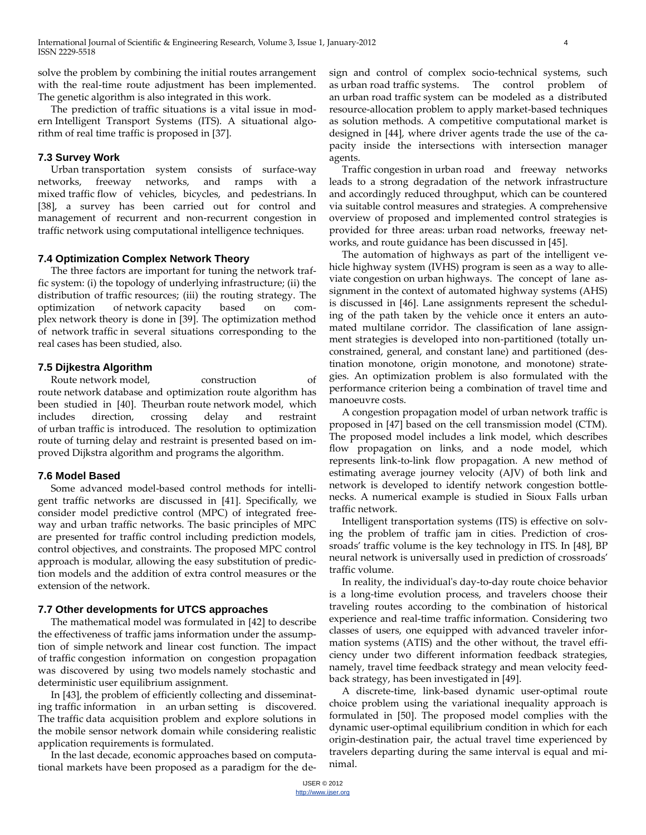solve the problem by combining the initial routes arrangement with the real-time route adjustment has been implemented. The genetic algorithm is also integrated in this work.

The prediction of traffic situations is a vital issue in modern Intelligent Transport Systems (ITS). A situational algorithm of real time traffic is proposed in [37].

#### **7.3 Survey Work**

Urban transportation system consists of surface-way networks, freeway networks, and ramps with a mixed traffic flow of vehicles, bicycles, and pedestrians. In [38], a survey has been carried out for control and management of recurrent and non-recurrent congestion in traffic network using computational intelligence techniques.

## **7.4 Optimization Complex Network Theory**

The three factors are important for tuning the network traffic system: (i) the topology of underlying infrastructure; (ii) the distribution of traffic resources; (iii) the routing strategy. The optimization of network capacity based on complex network theory is done in [39]. The optimization method of network traffic in several situations corresponding to the real cases has been studied, also.

## **7.5 Dijkestra Algorithm**

Route network model, construction of route network database and optimization route algorithm has been studied in [40]. Theurban route network model, which includes direction, crossing delay and restraint of urban traffic is introduced. The resolution to optimization route of turning delay and restraint is presented based on improved Dijkstra algorithm and programs the algorithm.

#### **7.6 Model Based**

Some advanced model-based control methods for intelligent traffic networks are discussed in [41]. Specifically, we consider model predictive control (MPC) of integrated freeway and urban traffic networks. The basic principles of MPC are presented for traffic control including prediction models, control objectives, and constraints. The proposed MPC control approach is modular, allowing the easy substitution of prediction models and the addition of extra control measures or the extension of the network.

#### **7.7 Other developments for UTCS approaches**

The mathematical model was formulated in [42] to describe the effectiveness of traffic jams information under the assumption of simple network and linear cost function. The impact of traffic congestion information on congestion propagation was discovered by using two models namely stochastic and deterministic user equilibrium assignment.

In [43], the problem of efficiently collecting and disseminating traffic information in an urban setting is discovered. The traffic data acquisition problem and explore solutions in the mobile sensor network domain while considering realistic application requirements is formulated.

In the last decade, economic approaches based on computational markets have been proposed as a paradigm for the design and control of complex socio-technical systems, such as urban road traffic systems. The control problem of an urban road traffic system can be modeled as a distributed resource-allocation problem to apply market-based techniques as solution methods. A competitive computational market is designed in [44], where driver agents trade the use of the capacity inside the intersections with intersection manager agents.

Traffic congestion in urban road and freeway networks leads to a strong degradation of the network infrastructure and accordingly reduced throughput, which can be countered via suitable control measures and strategies. A comprehensive overview of proposed and implemented control strategies is provided for three areas: urban road networks, freeway networks, and route guidance has been discussed in [45].

The automation of highways as part of the intelligent vehicle highway system (IVHS) program is seen as a way to alleviate congestion on urban highways. The concept of lane assignment in the context of automated highway systems (AHS) is discussed in [46]. Lane assignments represent the scheduling of the path taken by the vehicle once it enters an automated multilane corridor. The classification of lane assignment strategies is developed into non-partitioned (totally unconstrained, general, and constant lane) and partitioned (destination monotone, origin monotone, and monotone) strategies. An optimization problem is also formulated with the performance criterion being a combination of travel time and manoeuvre costs.

A congestion propagation model of urban network traffic is proposed in [47] based on the cell transmission model (CTM). The proposed model includes a link model, which describes flow propagation on links, and a node model, which represents link-to-link flow propagation. A new method of estimating average journey velocity (AJV) of both link and network is developed to identify network congestion bottlenecks. A numerical example is studied in Sioux Falls urban traffic network.

Intelligent transportation systems (ITS) is effective on solving the problem of traffic jam in cities. Prediction of crossroads' traffic volume is the key technology in ITS. In [48], BP neural network is universally used in prediction of crossroads' traffic volume.

In reality, the individual's day-to-day route choice behavior is a long-time evolution process, and travelers choose their traveling routes according to the combination of historical experience and real-time traffic information. Considering two classes of users, one equipped with advanced traveler information systems (ATIS) and the other without, the travel efficiency under two different information feedback strategies, namely, travel time feedback strategy and mean velocity feedback strategy, has been investigated in [49].

A discrete-time, link-based dynamic user-optimal route choice problem using the variational inequality approach is formulated in [50]. The proposed model complies with the dynamic user-optimal equilibrium condition in which for each origin-destination pair, the actual travel time experienced by travelers departing during the same interval is equal and minimal.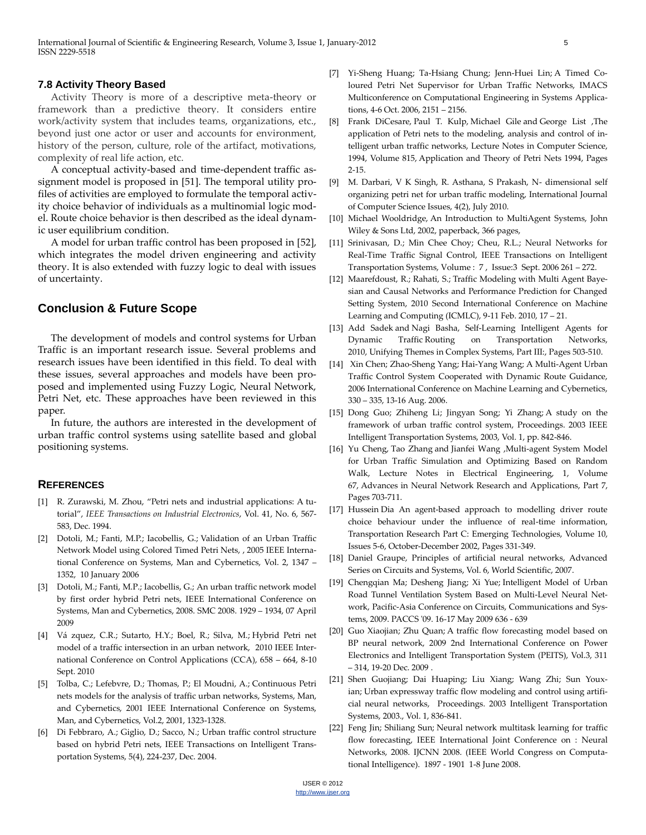#### **7.8 Activity Theory Based**

Activity Theory is more of a descriptive meta-theory or framework than a predictive theory. It considers entire work/activity system that includes teams, organizations, etc., beyond just one actor or user and accounts for environment, history of the person, culture, role of the artifact, motivations, complexity of real life action, etc.

A conceptual activity-based and time-dependent traffic assignment model is proposed in [51]. The temporal utility profiles of activities are employed to formulate the temporal activity choice behavior of individuals as a multinomial logic model. Route choice behavior is then described as the ideal dynamic user equilibrium condition.

A model for urban traffic control has been proposed in [52], which integrates the model driven engineering and activity theory. It is also extended with fuzzy logic to deal with issues of uncertainty.

# **Conclusion & Future Scope**

The development of models and control systems for Urban Traffic is an important research issue. Several problems and research issues have been identified in this field. To deal with these issues, several approaches and models have been proposed and implemented using Fuzzy Logic, Neural Network, Petri Net, etc. These approaches have been reviewed in this paper.

In future, the authors are interested in the development of urban traffic control systems using satellite based and global positioning systems.

#### **REFERENCES**

- [1] R. Zurawski, M. Zhou, "Petri nets and industrial applications: A tutorial", *IEEE Transactions on Industrial Electronics*, Vol. 41, No. 6, 567- 583, Dec. 1994.
- [2] Dotoli, M.; Fanti, M.P.; Iacobellis, G.; Validation of an Urban Traffic Network Model using Colored Timed Petri Nets, [, 2005 IEEE Interna](http://ieeexplore.ieee.org/xpl/mostRecentIssue.jsp?punumber=10498)[tional Conference on](http://ieeexplore.ieee.org/xpl/mostRecentIssue.jsp?punumber=10498) Systems, Man and Cybernetics, Vol. 2, 1347 – 1352, 10 January 2006
- [3] Dotoli, M.; Fanti, M.P.; Iacobellis, G.; An urban traffic network model by first order hybrid Petri nets, IEEE International Conference on Systems, Man and Cybernetics, 2008. SMC 2008. 1929 – 1934, 07 April 2009
- [4] Vá zquez, C.R.; Sutarto, H.Y.; Boel, R.; Silva, M.; Hybrid Petri net model of a traffic intersection in an urban network, [2010 IEEE Inter](http://ieeexplore.ieee.org/xpl/mostRecentIssue.jsp?punumber=5604775)[national Conference on](http://ieeexplore.ieee.org/xpl/mostRecentIssue.jsp?punumber=5604775) Control Applications (CCA), 658 – 664, 8-10 Sept. 2010
- [5] Tolba, C.; Lefebvre, D.; Thomas, P.; El Moudni, A.; Continuous Petri nets models for the analysis of traffic urban networks[, Systems, Man,](http://ieeexplore.ieee.org/xpl/mostRecentIssue.jsp?punumber=7658)  [and Cybernetics, 2001 IEEE International Conference on](http://ieeexplore.ieee.org/xpl/mostRecentIssue.jsp?punumber=7658) Systems, Man, and Cybernetics, Vol.2, 2001, 1323-1328.
- [6] Di Febbraro, A.; Giglio, D.; Sacco, N.; Urban traffic control structure based on hybrid Petri nets, IEEE Transactions on Intelligent Transportation Systems, 5(4), 224-237, Dec. 2004.
- [7] Yi-Sheng Huang; Ta-Hsiang Chung; Jenn-Huei Lin; A Timed Coloured Petri Net Supervisor for Urban Traffic Networks, IMACS Multiconference on Computational Engineering in Systems Applications, 4-6 Oct. 2006, 2151 – 2156.
- [8] Frank [DiCesare,](http://www.springerlink.com/content/?Author=Frank+DiCesare) Paul T. [Kulp,](http://www.springerlink.com/content/?Author=Paul+T.+Kulp) [Michael](http://www.springerlink.com/content/?Author=Michael+Gile) Gile and [George](http://www.springerlink.com/content/?Author=George+List) List [,The](http://www.springerlink.com/content/7365283h6527mn52/) [application](http://www.springerlink.com/content/7365283h6527mn52/) of Petri nets to the modeling, analysis and control of intelligent urban traffic [networks,](http://www.springerlink.com/content/7365283h6527mn52/) Lecture Notes in [Computer](http://www.springerlink.com/content/0302-9743/) Science, 1994, Volume 815, [Application](http://www.springerlink.com/content/978-3-540-58152-9/) and Theory of Petri Nets 1994, Pages 2-15.
- [9] M. Darbari, V K Singh, R. Asthana, S Prakash, N- dimensional self organizing petri net for urban traffic modeling, International Journal of Computer Science Issues, 4(2), July 2010.
- [10] Michael Wooldridge, An Introduction to MultiAgent Systems, John Wiley & Sons Ltd, 2002, paperback, 366 pages,
- [11] Srinivasan, D.; Min Chee Choy; Cheu, R.L.; Neural Networks for Real-Time Traffic Signal Control, IEEE Transactions on Intelligent Transportation Systems, Volume : 7 , [Issue:3](http://ieeexplore.ieee.org/xpl/tocresult.jsp?isnumber=35615) Sept. 2006 261 – 272.
- [12] Maarefdoust, R.; Rahati, S.; Traffic Modeling with Multi Agent Bayesian and Causal Networks and Performance Prediction for Changed Setting System, 2010 Second International Conference on Machine Learning and Computing (ICMLC), 9-11 Feb. 2010, 17 – 21.
- [13] Add [Sadek](http://www.springerlink.com/content/?Author=Add+Sadek) and Nagi [Basha,](http://www.springerlink.com/content/?Author=Nagi+Basha) [Self-Learning](http://www.springerlink.com/content/ulj9v384484h5022/) Intelligent Agents for Dynamic Traffic Routing on [Transportation](http://www.springerlink.com/content/ulj9v384484h5022/) Networks, 2010, Unifying Themes in [Complex](http://www.springerlink.com/content/978-3-540-85080-9/) Systems, Part III:, Pages 503-510.
- [14] Xin Chen; Zhao-Sheng Yang; Hai-Yang Wang; A Multi-Agent Urban Traffic Control System Cooperated with Dynamic Route Guidance, 2006 International Conference o[n Machine Learning and Cybernetics,](http://ieeexplore.ieee.org/xpl/mostRecentIssue.jsp?punumber=4028021)  330 – 335, 13-16 Aug. 2006.
- [15] Dong Guo; Zhiheng Li; Jingyan Song; Yi Zhang; A study on the framework of urban traffic control system, Proceedings. 2003 IEEE Intelligent Transportation Systems, 2003, Vol. 1, pp. 842-846.
- [16] Yu [Cheng,](http://www.springerlink.com/content/?Author=Yu+Cheng) Tao [Zhang](http://www.springerlink.com/content/?Author=Tao+Zhang) and [Jianfei](http://www.springerlink.com/content/?Author=Jianfei+Wang) Wang [,Multi-agent](http://www.springerlink.com/content/n226206150682w51/) System Model for Urban Traffic Simulation and [Optimizing](http://www.springerlink.com/content/n226206150682w51/) Based on Random [Walk,](http://www.springerlink.com/content/n226206150682w51/) Lecture Notes in Electrical [Engineering,](http://www.springerlink.com/content/1876-1100/) 1, Volume 67, Advances in Neural Network Research and [Applications,](http://www.springerlink.com/content/978-3-642-12989-6/) Part 7, Pages 703-711.
- [17] Hussein Dia An agent-based approach to modelling driver route choice behaviour under the influence of real-time information, [Transportation](http://www.sciencedirect.com/science/journal/0968090X) Research Part C: Emerging Technologies[, Volume](http://www.sciencedirect.com/science?_ob=PublicationURL&_hubEid=1-s2.0-S0968090X00X00460&_cid=271729&_pubType=JL&view=c&_auth=y&_acct=C000228598&_version=1&_urlVersion=0&_userid=10&md5=18b6bbbcd2bb18a2bebe26c3c3841369) 10, [Issues](http://www.sciencedirect.com/science?_ob=PublicationURL&_hubEid=1-s2.0-S0968090X00X00460&_cid=271729&_pubType=JL&view=c&_auth=y&_acct=C000228598&_version=1&_urlVersion=0&_userid=10&md5=18b6bbbcd2bb18a2bebe26c3c3841369) 5-6, October-December 2002, Pages 331-349.
- [18] Daniel Graupe, Principles of artificial neural networks, Advanced Series on Circuits and Systems, Vol. 6, World Scientific, 2007.
- [19] Chengqian Ma; Desheng Jiang; Xi Yue; Intelligent Model of Urban Road Tunnel Ventilation System Based on Multi-Level Neural Network, Pacific-Asia Conference on Circuits, Communications and Systems, 2009. PACCS '09. 16-17 May 2009 636 - 639
- [20] Guo Xiaojian; Zhu Quan; A traffic flow forecasting model based on BP neural network, 2009 2nd International Conference on Power Electronics and Intelligent Transportation System (PEITS), Vol.3, 311 – 314, 19-20 Dec. 2009 .
- [21] Shen Guojiang; Dai Huaping; Liu Xiang; Wang Zhi; Sun Youxian; Urban expressway traffic flow modeling and control using artificial neural networks, Proceedings. 2003 Intelligent Transportation Systems, 2003., Vol. 1, 836-841.
- [22] Feng Jin; Shiliang Sun; Neural network multitask learning for traffic flow forecasting, IEEE International Joint Conference on : [Neural](http://ieeexplore.ieee.org/xpl/mostRecentIssue.jsp?punumber=4625775)  [Networks, 2008. IJCNN 2008. \(IEEE World Congress on Computa](http://ieeexplore.ieee.org/xpl/mostRecentIssue.jsp?punumber=4625775)[tional Intelligence\).](http://ieeexplore.ieee.org/xpl/mostRecentIssue.jsp?punumber=4625775) 1897 - 1901 1-8 June 2008.